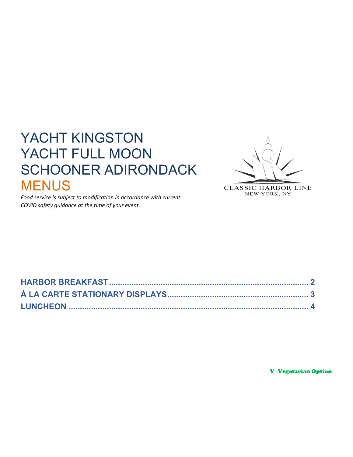# YACHT KINGSTON YACHT FULL MOON **SCHOONER ADIRONDACK MENUS**



Food service is subject to modification in accordance with current COVID safety guidance at the time of your event.

**CLASSIC HARBOR LINE** NEW YORK, NY

**V=Vegetarian Option**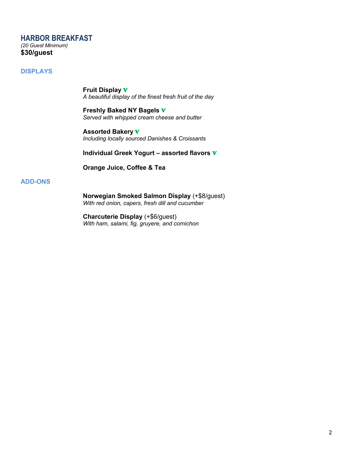# **HARBOR BREAKFAST**

*(20 Guest Minimum)* **\$30/guest**

# **DISPLAYS**

**Fruit Display** V *A beautiful display of the finest fresh fruit of the day*

**Freshly Baked NY Bagels** V *Served with whipped cream cheese and butter*

**Assorted Bakery** V *Including locally sourced Danishes & Croissants*

# **Individual Greek Yogurt – assorted flavors** V

**Orange Juice, Coffee & Tea**

# **ADD-ONS**

**Norwegian Smoked Salmon Display** (+\$8/guest) *With red onion, capers, fresh dill and cucumber*

**Charcuterie Display** (+\$6/guest) *With ham, salami, fig, gruyere, and cornichon*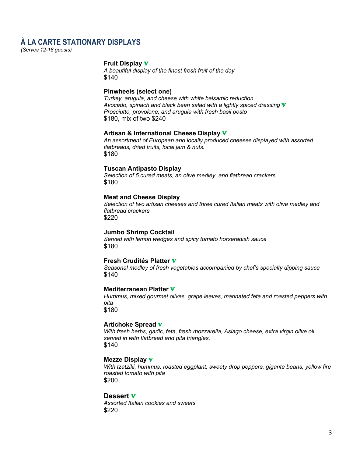# **À LA CARTE STATIONARY DISPLAYS**

*(Serves 12-18 guests)*

#### **Fruit Display** V

*A beautiful display of the finest fresh fruit of the day* \$140

#### **Pinwheels (select one)**

*Turkey, arugula, and cheese with white balsamic reduction Avocado, spinach and black bean salad with a lightly spiced dressing* V *Prosciutto, provolone, and arugula with fresh basil pesto* \$180, mix of two \$240

# **Artisan & International Cheese Display** V

*An assortment of European and locally produced cheeses displayed with assorted flatbreads, dried fruits, local jam & nuts.* \$180

#### **Tuscan Antipasto Display**

*Selection of 5 cured meats, an olive medley, and flatbread crackers* \$180

# **Meat and Cheese Display**

*Selection of two artisan cheeses and three cured Italian meats with olive medley and flatbread crackers* \$220

## **Jumbo Shrimp Cocktail**

*Served with lemon wedges and spicy tomato horseradish sauce* \$180

#### **Fresh Crudités Platter** V

*Seasonal medley of fresh vegetables accompanied by chef's specialty dipping sauce* \$140

## **Mediterranean Platter** V

*Hummus, mixed gourmet olives, grape leaves, marinated feta and roasted peppers with pita* \$180

#### **Artichoke Spread** V

*With fresh herbs, garlic, feta, fresh mozzarella, Asiago cheese, extra virgin olive oil served in with flatbread and pita triangles.* \$140

#### **Mezze Display** V

*With tzatziki, hummus, roasted eggplant, sweety drop peppers, gigante beans, yellow fire roasted tomato with pita* \$200

#### **Dessert** V

*Assorted Italian cookies and sweets* \$220